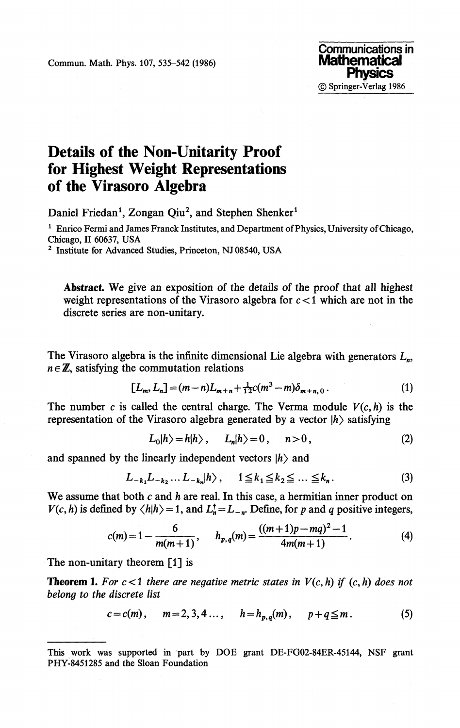Commun. Math. Phys. 107, 535-542 (1986)



## **Details of the Non-Unitarity Proof for Highest Weight Representations of the Virasoro Algebra**

Daniel Friedan<sup>1</sup>, Zongan Qiu<sup>2</sup>, and Stephen Shenker<sup>1</sup>

**1 Enrico Fermi and James Franck Institutes, and Department of Physics, University of Chicago, Chicago, II 60637, USA**

**2 Institute for Advanced Studies, Princeton, NJ 08540, USA**

**Abstract** We give an exposition of the details of the proof that all highest weight representations of the Virasoro algebra for *c <* 1 which are not in the discrete series are non-unitary.

The Virasoro algebra is the infinite dimensional Lie algebra with generators  $L_n$ ,  $n \in \mathbb{Z}$ , satisfying the commutation relations

$$
[L_m, L_n] = (m-n)L_{m+n} + \frac{1}{12}c(m^3-m)\delta_{m+n,0}.
$$
 (1)

The number c is called the central charge. The Verma module  $V(c, h)$  is the representation of the Virasoro algebra generated by a vector *\h}* satisfying

$$
L_0|h\rangle = h|h\rangle, \qquad L_n|h\rangle = 0, \qquad n>0,
$$
 (2)

and spanned by the linearly independent vectors  $\ket{h}$  and

$$
L_{-k_1}L_{-k_2}\dots L_{-k_n}|h\rangle, \quad 1 \leq k_1 \leq k_2 \leq \dots \leq k_n. \tag{3}
$$

We assume that both *c* and *h* are real. In this case, a hermitian inner product on  $V(c, h)$  is defined by  $\langle h|h \rangle = 1$ , and  $L_n^{\dagger} = L_{-n}$ . Define, for p and q positive integers,

$$
c(m)=1-\frac{6}{m(m+1)}, \qquad h_{p,q}(m)=\frac{((m+1)p-mq)^2-1}{4m(m+1)}.
$$
 (4)

The non-unitary theorem [1] is

**Theorem 1.** For  $c < 1$  there are negative metric states in  $V(c, h)$  if  $(c, h)$  does not *belong to the discrete list*

$$
c = c(m), \quad m = 2, 3, 4, \ldots, \quad h = h_{p,q}(m), \quad p + q \leq m.
$$
 (5)

**This work was supported in part by DOE grant DE-FG02-84ER-45144, NSF grant PHY-8451285 and the Sloan Foundation**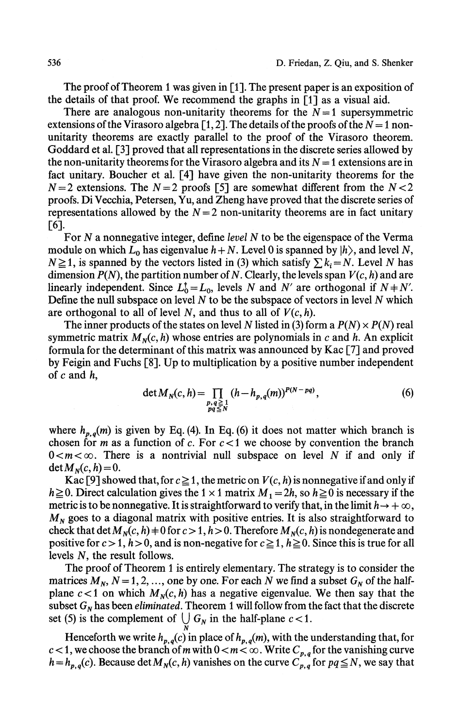The proof of Theorem 1 was given in [1], The present paper is an exposition of the details of that proof. We recommend the graphs in [1] as a visual aid.

There are analogous non-unitarity theorems for the  $N=1$  supersymmetric extensions of the Virasoro algebra  $[1,2]$ . The details of the proofs of the  $N=1$  nonunitarity theorems are exactly parallel to the proof of the Virasoro theorem. Goddard et al. [3] proved that all representations in the discrete series allowed by the non-unitarity theorems for the Virasoro algebra and its  $N = 1$  extensions are in fact unitary. Boucher et al. [4] have given the non-unitarity theorems for the  $N = 2$  extensions. The  $N = 2$  proofs [5] are somewhat different from the  $N < 2$ proofs. Di Vecchia, Petersen, Yu, and Zheng have proved that the discrete series of representations allowed by the  $N = 2$  non-unitarity theorems are in fact unitary [6].

For *N* a nonnegative integer, define *level N* to be the eigenspace of the Verma module on which  $L_0$  has eigenvalue  $h + N$ . Level 0 is spanned by  $|h\rangle$ , and level N,  $N \ge 1$ , is spanned by the vectors listed in (3) which satisfy  $\sum k_i = N$ . Level *N* has dimension  $P(N)$ , the partition number of N. Clearly, the levels span  $V(c, h)$  and are linearly independent. Since  $L_0^{\dagger} = L_0$ , levels *N* and *N'* are orthogonal if  $N + N'$ . Define the null subspace on level *N* to be the subspace of vectors in level *N* which are orthogonal to all of level *N,* and thus to all of *V(c, h).*

The inner products of the states on level N listed in (3) form a  $P(N) \times P(N)$  real symmetric matrix  $M_N(c, h)$  whose entries are polynomials in  $c$  and  $h$ . An explicit formula for the determinant of this matrix was announced by Kac [7] and proved by Feigin and Fuchs [8]. Up to multiplication by a positive number independent of c and h,

$$
\det M_N(c, h) = \prod_{\substack{p, q \ge 1 \\ pq \le N}} (h - h_{p, q}(m))^{P(N - pq)},
$$
\n(6)

where  $h_{p,q}(m)$  is given by Eq. (4). In Eq. (6) it does not matter which branch is chosen for *m* as a function of *c.* For *c <* 1 we choose by convention the branch  $0 < m < \infty$ . There is a nontrivial null subspace on level N if and only if  $\det M_N(c,h) = 0.$ 

Kac [9] showed that, for  $c \ge 1$ , the metric on  $V(c, h)$  is nonnegative if and only if  $h \ge 0$ . Direct calculation gives the 1 × 1 matrix  $M_1 = 2h$ , so  $h \ge 0$  is necessary if the metric is to be nonnegative. It is straightforward to verify that, in the limit  $h \rightarrow +\infty$ , *M<sup>N</sup>* goes to a diagonal matrix with positive entries. It is also straightforward to check that det  $M_N(c, h)$   $+$  0 for  $c > 1$ ,  $h > 0$ . Therefore  $M_N(c, h)$  is nondegenerate and positive for  $c > 1$ ,  $h > 0$ , and is non-negative for  $c \ge 1$ ,  $h \ge 0$ . Since this is true for all levels *N,* the result follows.

The proof of Theorem 1 is entirely elementary. The strategy is to consider the matrices  $M_N$ ,  $N = 1, 2, ...,$  one by one. For each N we find a subset  $G_N$  of the half plane  $c < 1$  on which  $M_N(c, h)$  has a negative eigenvalue. We then say that the subset  $G_N$  has been *eliminated*. Theorem 1 will follow from the fact that the discrete set (5) is the complement of  $\bigcup G_N$  in the half-plane  $c < 1$ .

Henceforth we write  $h_{p,q}(c)$  in place of  $h_{p,q}(m)$ , with the understanding that, for  $c < 1$ , we choose the branch of m with  $0 < m < \infty$ . Write  $C_{p,q}$  for the vanishing curve  $h = h_{p,q}(c)$ . Because det  $M_N(c, h)$  vanishes on the curve  $C_{p,q}^{(c, n)}$  for  $pq \le N$ , we say that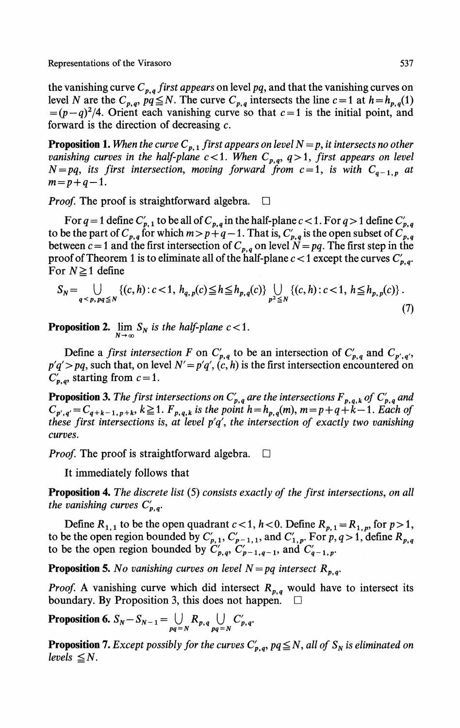Representations of the Virasoro 637

the vanishing curve  $C_{p,q}$  first appears on level pq, and that the vanishing curves on level *N* are the  $C_{p,q}$ ,  $pq \le N$ . The curve  $C_{p,q}$  intersects the line  $c = 1$  at  $h = h_{p,q}(1)$  $=(p-q)^2/4$ . Orient each vanishing curve so that  $c=1$  is the initial point, and forward is the direction of decreasing  $c$ .

**Proposition 1.** When the curve  $C_{p,1}$  first appears on level  $N=p$ , it intersects no other *vanishing curves in the half-plane c*<1. When  $C_{p,q}$ ,  $q>1$ , first appears on level  $N = pq$ , its first intersection, moving forward from  $c = 1$ , is with  $C_{q-1,p}$  at  $m = p+q-1$ .

*Proof.* The proof is straightforward algebra.  $\square$ 

For  $q = 1$  define  $C'_{p,1}$  to be all of  $C_{p,q}$  in the half-plane  $c < 1$ . For  $q > 1$  define  $C'_{p,1}$ to be the part of  $C_{p,q}$  for which  $m > p+q-1$ . That is,  $C'_{p,q}$  is the open subset of  $C_p$ , between  $c = 1$  and the first intersection of  $C_{p,q}$  on level  $N = pq$ . The first step in the proof of Theorem 1 is to eliminate all of the half-plane  $c < 1$  except the curves  $C'_{p,q}$ . For  $N \geq 1$  define

$$
S_N = \bigcup_{q < p, pq \leq N} \left\{ (c, h) : c < 1, h_{q, p}(c) \leq h \leq h_{p, q}(c) \right\} \bigcup_{p^2 \leq N} \left\{ (c, h) : c < 1, h \leq h_{p, p}(c) \right\}. \tag{7}
$$

**Proposition 2.**  $\lim_{N\to\infty} S_N$  is the half-plane  $c < 1$ .

Define a *first intersection* F on  $C'_{p,q}$  to be an intersection of  $C'_{p,q}$  and  $C_{p',q'}$ ,  $p'q' > pq$ , such that, on level  $N' = p'q'$ ,  $(c, h)$  is the first intersection encountered on  $C'_{p,q}$ , starting from  $c = 1$ .

**Proposition 3.** The first intersections on  $C'_{p,q}$  are the intersections  $F_{p,q,k}$  of  $C'_{p,q}$  and  $C_{p',q'} = C_{q+k-1,p+k}, k \ge 1$ .  $F_{p,q,k}$  is the point  $h = h_{p,q}(m)$ ,  $m = p + q + k - 1$ . Each of *these first intersections is, at level*  $p'q'$ *, the intersection of exactly two vanishing curves.*

*Proof.* The proof is straightforward algebra.  $\square$ 

It immediately follows that

**Proposition 4.** *The discrete list* (5) *consists exactly of the first intersections, on all the vanishing curves*  $C'_{p,q}$ .

Define  $R_{1,1}$  to be the open quadrant  $c < 1$ ,  $h < 0$ . Define  $R_{p,1} = R_{1,p}$ , for  $p > 1$ , to be the open region bounded by  $C'_{p,1}, C'_{p-1,1}$ , and  $C'_{1,p}$ . For  $p, q > 1$ , define  $R_{p,q}$ to be the open region bounded by  $C'_{p,q}$ ,  $C'_{p-1,q-1}$ , and  $C'_{q-1,p}$ .

**Proposition 5.** No vanishing curves on level  $N = pq$  intersect  $R_{p,q}$ .

*Proof.* A vanishing curve which did intersect  $R_{p,q}$  would have to intersect its boundary. By Proposition 3, this does not happen.  $\Box$ 

**Proposition 6.**  $S_N - S_{N-1} = \bigcup_{pq=N} R_{p,q} \bigcup_{pq=N} C'_{p,q}$ 

**Proposition 7.** *Except possibly for the curves*  $C'_{p,q}$ *, pq*  $\leq$  *N*, all of  $S_N$  is eliminated on *levels*  $\leq N$ *.*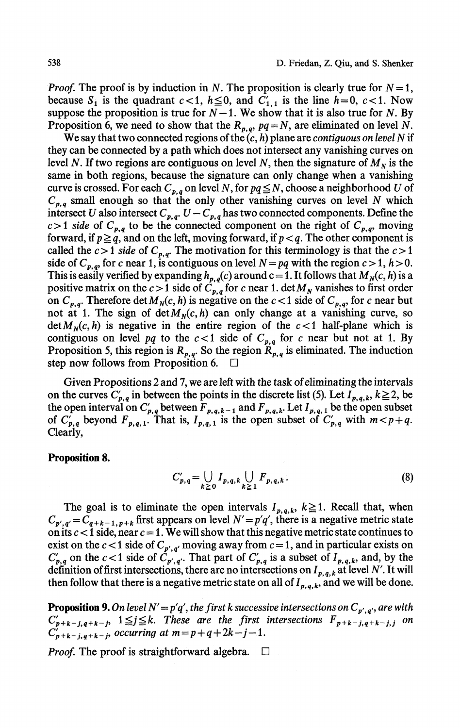*Proof.* The proof is by induction in N. The proposition is clearly true for  $N = 1$ , because  $S_1$  is the quadrant  $c < 1$ ,  $h \le 0$ , and  $C'_{1,1}$  is the line  $h=0$ ,  $c < 1$ . Now suppose the proposition is true for  $N-1$ . We show that it is also true for N. By Proposition 6, we need to show that the  $R_{p,q}$ ,  $pq = N$ , are eliminated on level N.

We say that two connected regions of the (c, *h)* plane are *contiguous on level N* if they can be connected by a path which does not intersect any vanishing curves on level N. If two regions are contiguous on level N, then the signature of  $M_N$  is the same in both regions, because the signature can only change when a vanishing curve is crossed. For each  $C_{p,q}$  on level N, for  $pq \le N$ , choose a neighborhood U of  $C_{p,q}$  small enough so that the only other vanishing curves on level *N* which intersect *U* also intersect  $C_{p,q}$ .  $U - C_{p,q}$  has two connected components. Define the  $c > 1$  side of  $C_{p,q}$  to be the connected component on the right of  $C_{p,q}$ , moving forward, if  $p \geq q$ , and on the left, moving forward, if  $p < q$ . The other component is called the  $c > 1$  side of  $C_{p,q}$ . The motivation for this terminology is that the  $c > 1$ side of  $C_{p,q}$ , for c near 1, is contiguous on level  $N = pq$  with the region  $c > 1$ ,  $h > 0$ . This is easily verified by expanding  $h_{p,q}(c)$  around c = 1. It follows that  $M_N(c, h)$  is a positive matrix on the  $c > 1$  side of  $C_{p,q}$  for c near 1. det  $M_N$  vanishes to first order on  $C_{p,q}$ . Therefore det  $M_N(c, h)$  is negative on the  $c < 1$  side of  $C_{p,q}$ , for c near but not at 1. The sign of  $\det M_N(c, h)$  can only change at a vanishing curve, so  $\det M_N(c, h)$  is negative in the entire region of the  $c < 1$  half-plane which is contiguous on level pq to the  $c < 1$  side of  $C_{p,q}$  for c near but not at 1. By Proposition 5, this region is  $R_{p,q}$ . So the region  $R_{p,q}$  is eliminated. The induction step now follows from Proposition 6.  $\Box$ 

Given Propositions 2 and 7, we are left with the task of eliminating the intervals on the curves  $C'_{p,q}$  in between the points in the discrete list (5). Let  $I_{p,q,k}$ ,  $k \ge 2$ , be the open interval on  $C'_{p,q}$  between  $\overline{F}_{p,q,k-1}$  and  $\overline{F}_{p,q,k}$ . Let  $I_{p,q,1}$  be the open subset of  $C'_{p,q}$  beyond  $F_{p,q,1}$ . That is,  $I_{p,q,1}$  is the open subset of  $C'_{p,q}$  with  $m < p+q$ . Clearly,

## **Proposition 8.**

$$
C'_{p,q} = \bigcup_{k \geq 0} I_{p,q,k} \bigcup_{k \geq 1} F_{p,q,k}.
$$
 (8)

The goal is to eliminate the open intervals  $I_{p,q,k}$ ,  $k \ge 1$ . Recall that, when  $C_{p',q'} = \overline{C}_{q+k-1,p+k}$  first appears on level  $N' = p'q'$ , there is a negative metric state on its *c <* 1 side, near *c* = 1. We will show that this negative metric state continues to exist on the  $c < 1$  side of  $C_{p',q'}$  moving away from  $c = 1$ , and in particular exists on  $C'_{p,q}$  on the  $c < 1$  side of  $C'_{p',q'}$ . That part of  $C'_{p,q}$  is a subset of  $I_{p,q,k}$ , and, by the definition of first intersections, there are no intersections on  $I_{p,q,k}$  at level N'. It will then follow that there is a negative metric state on all of  $I_{p,q,k}$ , and we will be done.

**Proposition 9.** On level  $N' = p'q'$ , the first k successive intersections on  $C_{p',q'}$ , are with  $C'_{p+k-j,q+k-j}$ ,  $1 \leq j \leq k$ . These are the first intersections  $F_{p+k-j,q+k-j,j}$  on  $C'_{p+k-j,q+k-j}$ , occurring at  $m=p+q+2k-j-1$ .

*Proof.* The proof is straightforward algebra.  $\Box$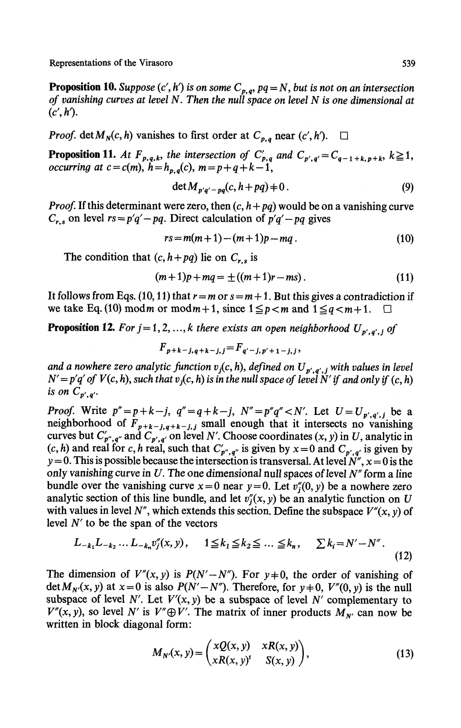Representations of the Virasoro 539

**Proposition 10.** Suppose  $(c', h')$  is on some  $C_{p,q}$ , pq = N, but is not on an intersection *of vanishing curves at level N. Then the null space on level N is one dimensional at*  $(c', h')$ .

*Proof.* det  $M_N(c, h)$  vanishes to first order at  $C_{p,q}$  near  $(c', h')$ .  $\square$ 

**Proposition 11.** At  $F_{p,q,k}$ , the intersection of  $C'_{p,q}$  and  $C_{p',q'} = C_{q-1+k,p+k}$ ,  $k \ge 1$ , *occurring at c* =  $c(m)$ ,  $h=h_{p,q}(c)$ ,  $m=p+q+k-1$ ,

$$
\det M_{p'q'-pq}(c, h+pq) \neq 0. \tag{9}
$$

*Proof.* If this determinant were zero, then  $(c, h + pq)$  would be on a vanishing curve  $C_{r,s}$  on level  $rs = p'q' - pq$ . Direct calculation of  $p'q' - pq$  gives

$$
rs = m(m+1) - (m+1)p - mq.
$$
 (10)

The condition that  $(c, h+pq)$  lie on  $C_{r,s}$  is

$$
(m+1)p + mq = \pm ((m+1)r - ms). \tag{11}
$$

It follows from Eqs. (10, 11) that  $r = m$  or  $s = m + 1$ . But this gives a contradiction if we take Eq. (10) mod m or mod  $m+1$ , since  $1 \leq p < m$  and  $1 \leq q < m+1$ .

**Proposition 12.** For  $j = 1, 2, ..., k$  there exists an open neighborhood  $U_{p',q',j}$  of

$$
F_{p+k-j,q+k-j,j} = F_{q'-j,p'+1-j,j},
$$

and a nowhere zero analytic function  $v_j(c,h)$ , defined on  $U_{p',q',j}$  with values in level  $N' = p'q'$  of  $V(c, h)$ , such that  $v<sub>i</sub>(c, h)$  is in the null space of level N' if and only if  $(c, h)$ *is on*  $\overline{C}_{p',q'}$ .

*Proof.* Write  $p'' = p + k - j$ ,  $q'' = q + k - j$ ,  $N'' = p''q'' < N'$ . Let  $U = U_{p', q', j}$  be a neighborhood of  $F_{p+k-j,q+k-j,j}$  small enough that it intersects no vanishing curves but  $C'_{p'',q''}$  and  $C_{p',q'}$  on level N'. Choose coordinates  $(x, y)$  in U, analytic in  $(c, h)$  and real for c, h real, such that  $C'_{p'',q''}$  is given by  $x=0$  and  $C_{p',q'}$  is given by  $y=0$ . This is possible because the intersection is transversal. At level  $\hat{N}^{\prime\prime}$ ,  $x=0$  is the only vanishing curve in *U.* The one dimensional null spaces of level *N"* form a line bundle over the vanishing curve  $x = 0$  near  $y = 0$ . Let  $v''_i(0, y)$  be a nowhere zero analytic section of this line bundle, and let  $v_j(x, y)$  be an analytic function on U with values in level  $N''$ , which extends this section. Define the subspace  $V''(x, y)$  of level *N'* to be the span of the vectors

$$
L_{-k_1}L_{-k_2}\dots L_{-k_n}v_j''(x,y), \quad 1 \le k_1 \le k_2 \le \dots \le k_n, \quad \sum k_i = N' - N''.
$$
\n(12)

The dimension of  $V''(x, y)$  is  $P(N'-N'')$ . For  $y \neq 0$ , the order of vanishing of det  $M_{N'}(x, y)$  at  $x = 0$  is also  $P(N'-N'')$ . Therefore, for  $y \neq 0$ ,  $V''(0, y)$  is the null subspace of level N'. Let  $V'(x, y)$  be a subspace of level N' complementary to  $V''(x, y)$ , so level *N'* is  $V'' \oplus V'$ . The matrix of inner products  $M_{N'}$  can now be written in block diagonal form:

$$
M_{N'}(x, y) = \begin{pmatrix} xQ(x, y) & xR(x, y) \\ xR(x, y)^t & S(x, y) \end{pmatrix},
$$
\n(13)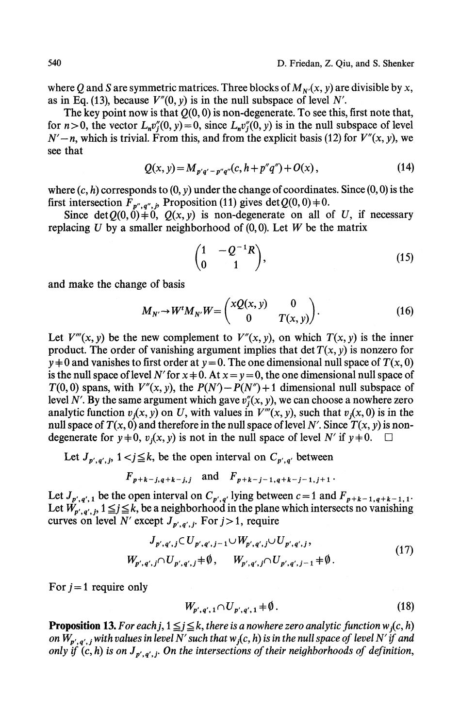where Q and S are symmetric matrices. Three blocks of  $M_{N'}(x, y)$  are divisible by x, as in Eq. (13), because  $V''(0, y)$  is in the null subspace of level N'.

The key point now is that  $Q(0,0)$  is non-degenerate. To see this, first note that, for  $n>0$ , the vector  $L_n v_i''(0, y) = 0$ , since  $L_n v_i''(0, y)$  is in the null subspace of level  $N' - n$ , which is trivial. From this, and from the explicit basis (12) for  $V''(x, y)$ , we see that

$$
Q(x, y) = M_{p'q' - p''q''}(c, h + p''q'') + O(x),
$$
\n(14)

where  $(c, h)$  corresponds to  $(0, y)$  under the change of coordinates. Since  $(0, 0)$  is the first intersection  $\overline{F}_{p'',q'',p}$  Proposition (11) gives det  $Q(0,0) \neq 0$ .

Since det $Q(0,0)$ +0,  $Q(x, y)$  is non-degenerate on all of U, if necessary replacing *U* by a smaller neighborhood of (0,0). Let *W* be the matrix

$$
\begin{pmatrix} 1 & -Q^{-1}R \\ 0 & 1 \end{pmatrix}, \tag{15}
$$

and make the change of basis

$$
M_{N'} \to W^t M_{N'} W = \begin{pmatrix} xQ(x, y) & 0 \\ 0 & T(x, y) \end{pmatrix}.
$$
 (16)

Let  $V'''(x, y)$  be the new complement to  $V''(x, y)$ , on which  $T(x, y)$  is the inner product. The order of vanishing argument implies that det  $T(x, y)$  is nonzero for  $y \neq 0$  and vanishes to first order at  $y = 0$ . The one dimensional null space of  $T(x, 0)$ is the null space of level N' for  $x + 0$ . At  $x = y = 0$ , the one dimensional null space of  $T(0,0)$  spans, with  $V''(x, y)$ , the  $P(N') - P(N'') + 1$  dimensional null subspace of level N'. By the same argument which gave  $v''_i(x, y)$ , we can choose a nowhere zero analytic function  $v_j(x, y)$  on U, with values in  $V'''(x, y)$ , such that  $v_j(x, 0)$  is in the null space of  $T(x, 0)$  and therefore in the null space of level N'. Since  $T(x, y)$  is nondegenerate for  $y\neq 0$ ,  $v_i(x, y)$  is not in the null space of level *N'* if  $y\neq 0$ .

Let  $J_{p',q',j}$ ,  $1 < j \leq k$ , be the open interval on  $C_{p',q'}$  between

$$
F_{p+k-j,q+k-j,j}
$$
 and  $F_{p+k-j-1,q+k-j-1,j+1}$ .

Let  $J_{p',q',1}$  be the open interval on  $C_{p',q'}$  lying between  $c=1$  and  $F_{p+k-1,q+k-1,1}$ . Let  $W_{p',q',j}$ ,  $1 \leq j \leq k$ , be a neighborhood in the plane which intersects no vanishing curves on level N' except  $J_{p',q',j}$ . For  $j>1$ , require

$$
J_{p',q',j} \subset U_{p',q',j-1} \cup W_{p',q',j} \cup U_{p',q',j},
$$
  
\n
$$
W_{p',q',j} \cap U_{p',q',j} \neq \emptyset, \qquad W_{p',q',j} \cap U_{p',q',j-1} \neq \emptyset.
$$
\n
$$
(17)
$$

For  $j = 1$  require only

$$
W_{p',q',1} \cap U_{p',q',1} \neq \emptyset. \tag{18}
$$

**Proposition 13.** *For each j,*  $1 \leq j \leq k$ , there is a nowhere zero analytic function w<sub>j</sub>(c, h) on  $W_{p',\,q',\,j}$  with values in level  $N'$  such that  $w_j(c,h)$  is in the null space of level  $N'$  if and *only if*  $(c, h)$  is on  $J_{p', q', j}$ . On the intersections of their neighborhoods of definition,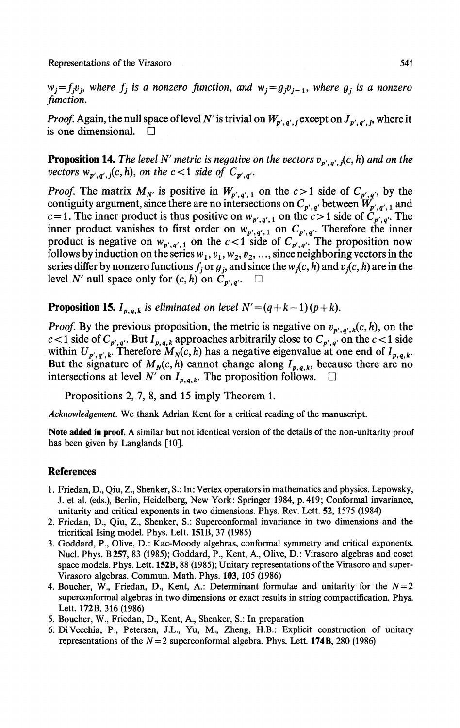Representations of the Virasoro 541

 $w_j = f_j v_j$ , where  $f_j$  is a nonzero function, and  $w_j = g_j v_{j-1}$ , where  $g_j$  is a nonzero *function.*

*Proof.* Again, the null space of level  $N'$  is trivial on  $W_{p',q',j}$  except on  $J_{p',q',j}$ , where it is one dimensional.  $\square$ 

**Proposition 14.** The level N' metric is negative on the vectors  $v_{p',q',j}(c, h)$  and on the *vectors*  $w_{p',q'}$ ,  $j(c,h)$ , on the  $c<1$  side of  $C_{p',q'}$ .

*Proof.* The matrix  $M_N$  is positive in  $W_{p',q',1}$  on the  $c>1$  side of  $C_{p',q'}$ , by the contiguity argument, since there are no intersections on  $C_{p',q'}$  between  $W_{p',q',q}$  and *c* = 1. The inner product is thus positive on  $w_{p',q',1}$  on the *c* > 1 side of  $\tilde{C}_{p',q'}$ . The inner product vanishes to first order on  $w_{p',q',1}$  on  $C_{p',q'}$ . Therefore the inner product is negative on  $w_{p',q',1}$  on the  $c<1$  side of  $C_{p',q'}$ . The proposition now follows by induction on the series  $w_1, v_1, w_2, v_2, ...,$  since neighboring vectors in the series differ by nonzero functions  $f_j$  or  $g_j$ , and since the  $w_j(c, h)$  and  $v_j(c, h)$  are in the level N' null space only for  $(c, h)$  on  $C_{p', q'}$ .  $\Box$ 

**Proposition 15.**  $I_{p,q,k}$  is eliminated on level  $N' = (q + k - 1)(p + k)$ .

*Proof.* By the previous proposition, the metric is negative on  $v_{p',q',k}(c,h)$ , on the *k* c/b, b) the previous proposition, the metric is highlive on  $b_p$ ,  $a_p$ ,  $k_p$ ,  $b_p$ ,  $b_p$ ,  $c_p$  is the c  $c_1$  side within  $U_{p',q',k}$ . Therefore  $M_N(c, h)$  has a negative eigenvalue at one end of  $I_{p,q,k}$ . But the signature of  $M_N(c, h)$  cannot change along  $I_{p,q,k}$ , because there are no intersections at level *N'* on  $I_{p,q,k}$ . The proposition follows.  $\Box$ 

Propositions 2, 7, 8, and 15 imply Theorem 1.

*Acknowledgement.* We thank Adrian Kent for a critical reading of the manuscript.

**Note added in proof.** A similar but not identical version of the details of the non-unitarity proof has been given by Langlands [10].

## **References**

- 1. Friedan, D., Qiu, Z., Shenker, S.: In: Vertex operators in mathematics and physics. Lepowsky, J. et al. (eds.), Berlin, Heidelberg, New York: Springer 1984, p. 419; Conformal invariance, unitarity and critical exponents in two dimensions. Phys. Rev. Lett. **52,**1575 (1984)
- 2. Friedan, D., Qiu, Z., Shenker, S.: Superconformal invariance in two dimensions and the tricritical Ising model. Phys. Lett. **151B,** 37 (1985)
- 3. Goddard, P., Olive, D.: Kac-Moody algebras, conformal symmetry and critical exponents. Nucl. Phys. **B257,** 83 (1985); Goddard, P., Kent, A., Olive, D.: Virasoro algebras and coset space models. Phys. Lett. **152B,** 88 (1985); Unitary representations of the Virasoro and super-Virasoro algebras. Commun. Math. Phys. **103,**105 (1986)
- 4. Boucher, W., Friedan, D., Kent, A.: Determinant formulae and unitarity for the  $N=2$ superconformal algebras in two dimensions or exact results in string compactification. Phys. Lett. **172B,** 316 (1986)
- 5. Boucher, W., Friedan, D., Kent, A., Shenker, S.: In preparation
- 6. DiVecchia, P., Petersen, J.L., Yu, M., Zheng, H.B.: Explicit construction of unitary representations of the  $N = 2$  superconformal algebra. Phys. Lett. 174B, 280 (1986)